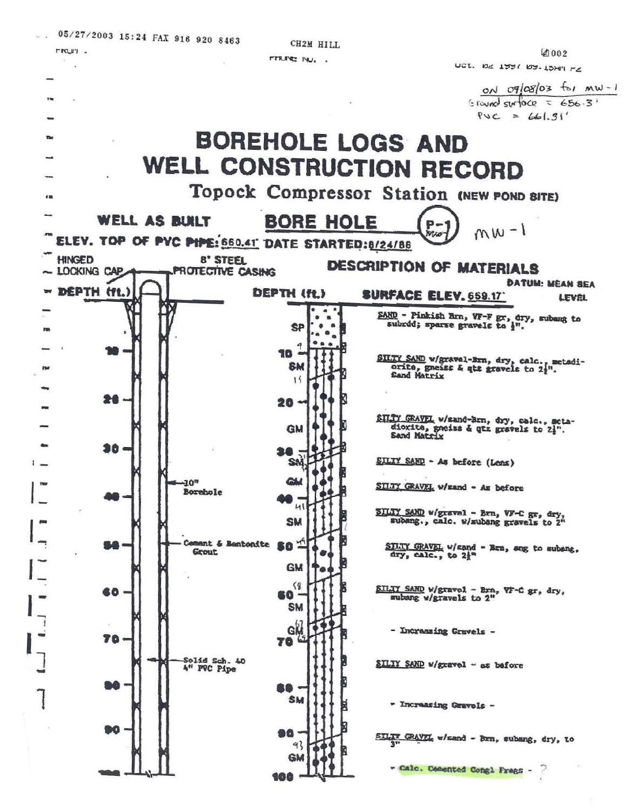FRUIT.

res

**I'm** 

ю

**PHUNE INU.** 

0002 א והאפז יבש ובבן אש יוסרו



DO

100

93 **GM**  SILTY GRAYEL w/sand - Brn, subang, dry, to

- Calc. Comented Congl Frags -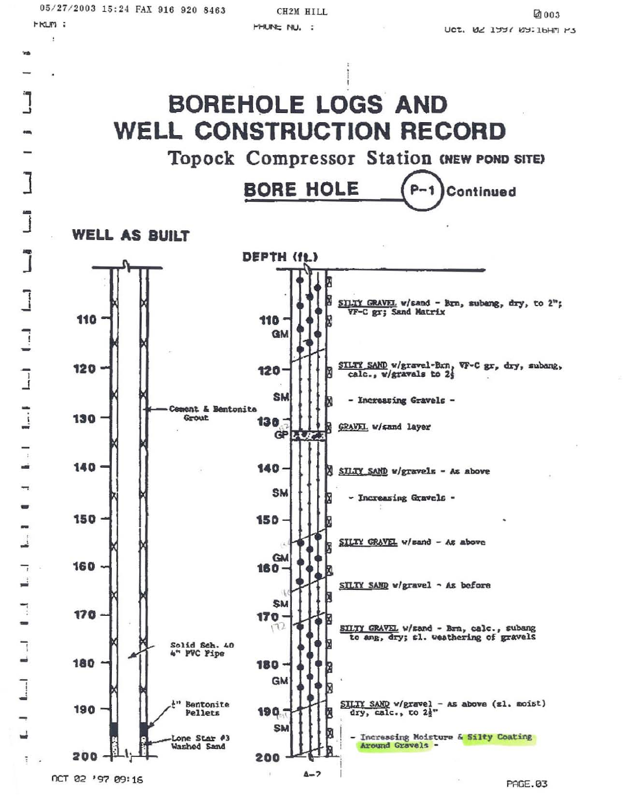**FRUM:**